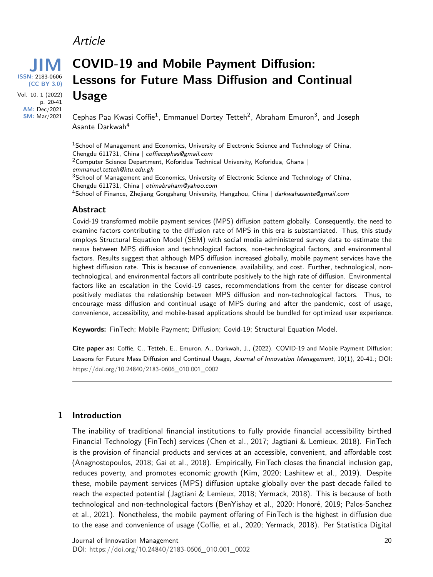# Article



**AM:** Dec/2021 **SM:** Mar/2021 **COVID-19 and Mobile Payment Diffusion: Lessons for Future Mass Diffusion and Continual Usage**

Cephas Paa Kwasi Coffie<sup>1</sup>, Emmanuel Dortey Tetteh<sup>2</sup>, Abraham Emuron<sup>3</sup>, and Joseph Asante Darkwah<sup>4</sup>

<sup>1</sup> School of Management and Economics, University of Electronic Science and Technology of China, Chengdu 611731, China | coffiecephas@gmail.com  $2$ Computer Science Department, Koforidua Technical University, Koforidua, Ghana |

emmanuel.tetteh@ktu.edu.gh

 $3$ School of Management and Economics, University of Electronic Science and Technology of China, Chengdu 611731, China | otimabraham@yahoo.com

<sup>4</sup>School of Finance, Zhejiang Gongshang University, Hangzhou, China | darkwahasante@gmail.com

#### **Abstract**

Covid-19 transformed mobile payment services (MPS) diffusion pattern globally. Consequently, the need to examine factors contributing to the diffusion rate of MPS in this era is substantiated. Thus, this study employs Structural Equation Model (SEM) with social media administered survey data to estimate the nexus between MPS diffusion and technological factors, non-technological factors, and environmental factors. Results suggest that although MPS diffusion increased globally, mobile payment services have the highest diffusion rate. This is because of convenience, availability, and cost. Further, technological, nontechnological, and environmental factors all contribute positively to the high rate of diffusion. Environmental factors like an escalation in the Covid-19 cases, recommendations from the center for disease control positively mediates the relationship between MPS diffusion and non-technological factors. Thus, to encourage mass diffusion and continual usage of MPS during and after the pandemic, cost of usage, convenience, accessibility, and mobile-based applications should be bundled for optimized user experience.

**Keywords:** FinTech; Mobile Payment; Diffusion; Covid-19; Structural Equation Model.

**Cite paper as:** Coffie, C., Tetteh, E., Emuron, A., Darkwah, J., (2022). COVID-19 and Mobile Payment Diffusion: Lessons for Future Mass Diffusion and Continual Usage, Journal of Innovation Management, 10(1), 20-41.; DOI: [https://doi.org/](https://doi.org/10.24840/2183-0606_010.001_0002)10.24840/2183-0606\_010.001\_0002

#### **1 Introduction**

The inability of traditional financial institutions to fully provide financial accessibility birthed Financial Technology (FinTech) services (Chen et al., 2017; Jagtiani & Lemieux, 2018). FinTech is the provision of financial products and services at an accessible, convenient, and affordable cost (Anagnostopoulos, 2018; Gai et al., 2018). Empirically, FinTech closes the financial inclusion gap, reduces poverty, and promotes economic growth (Kim, 2020; Lashitew et al., 2019). Despite these, mobile payment services (MPS) diffusion uptake globally over the past decade failed to reach the expected potential (Jagtiani & Lemieux, 2018; Yermack, 2018). This is because of both technological and non-technological factors (BenYishay et al., 2020; Honoré, 2019; Palos-Sanchez et al., 2021). Nonetheless, the mobile payment offering of FinTech is the highest in diffusion due to the ease and convenience of usage (Coffie, et al., 2020; Yermack, 2018). Per Statistica Digital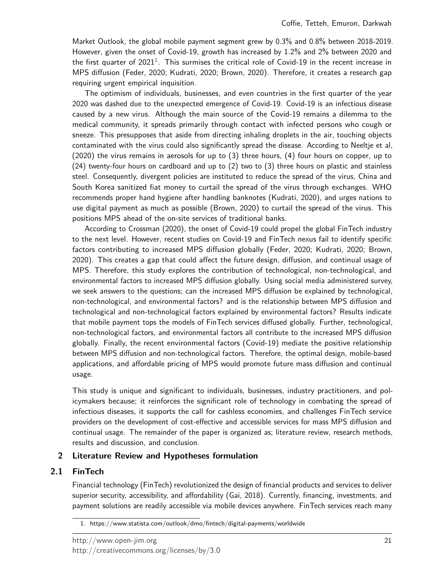Market Outlook, the global mobile payment segment grew by 0.3% and 0.8% between 2018-2019. However, given the onset of Covid-19, growth has increased by 1.2% and 2% between 2020 and the first quarter of 202[1](#page-1-0) $^1$ . This surmises the critical role of Covid-19 in the recent increase in MPS diffusion (Feder, 2020; Kudrati, 2020; Brown, 2020). Therefore, it creates a research gap requiring urgent empirical inquisition.

The optimism of individuals, businesses, and even countries in the first quarter of the year 2020 was dashed due to the unexpected emergence of Covid-19. Covid-19 is an infectious disease caused by a new virus. Although the main source of the Covid-19 remains a dilemma to the medical community, it spreads primarily through contact with infected persons who cough or sneeze. This presupposes that aside from directing inhaling droplets in the air, touching objects contaminated with the virus could also significantly spread the disease. According to Neeltje et al, (2020) the virus remains in aerosols for up to (3) three hours, (4) four hours on copper, up to (24) twenty-four hours on cardboard and up to (2) two to (3) three hours on plastic and stainless steel. Consequently, divergent policies are instituted to reduce the spread of the virus, China and South Korea sanitized fiat money to curtail the spread of the virus through exchanges. WHO recommends proper hand hygiene after handling banknotes (Kudrati, 2020), and urges nations to use digital payment as much as possible (Brown, 2020) to curtail the spread of the virus. This positions MPS ahead of the on-site services of traditional banks.

According to Crossman (2020), the onset of Covid-19 could propel the global FinTech industry to the next level. However, recent studies on Covid-19 and FinTech nexus fail to identify specific factors contributing to increased MPS diffusion globally (Feder, 2020; Kudrati, 2020; Brown, 2020). This creates a gap that could affect the future design, diffusion, and continual usage of MPS. Therefore, this study explores the contribution of technological, non-technological, and environmental factors to increased MPS diffusion globally. Using social media administered survey, we seek answers to the questions; can the increased MPS diffusion be explained by technological, non-technological, and environmental factors? and is the relationship between MPS diffusion and technological and non-technological factors explained by environmental factors? Results indicate that mobile payment tops the models of FinTech services diffused globally. Further, technological, non-technological factors, and environmental factors all contribute to the increased MPS diffusion globally. Finally, the recent environmental factors (Covid-19) mediate the positive relationship between MPS diffusion and non-technological factors. Therefore, the optimal design, mobile-based applications, and affordable pricing of MPS would promote future mass diffusion and continual usage.

This study is unique and significant to individuals, businesses, industry practitioners, and policymakers because; it reinforces the significant role of technology in combating the spread of infectious diseases, it supports the call for cashless economies, and challenges FinTech service providers on the development of cost-effective and accessible services for mass MPS diffusion and continual usage. The remainder of the paper is organized as; literature review, research methods, results and discussion, and conclusion.

# **2 Literature Review and Hypotheses formulation**

# **2.1 FinTech**

Financial technology (FinTech) revolutionized the design of financial products and services to deliver superior security, accessibility, and affordability (Gai, 2018). Currently, financing, investments, and payment solutions are readily accessible via mobile devices anywhere. FinTech services reach many

<span id="page-1-0"></span><sup>1.</sup> https://www.statista.com/outlook/dmo/fintech/digital-payments/worldwide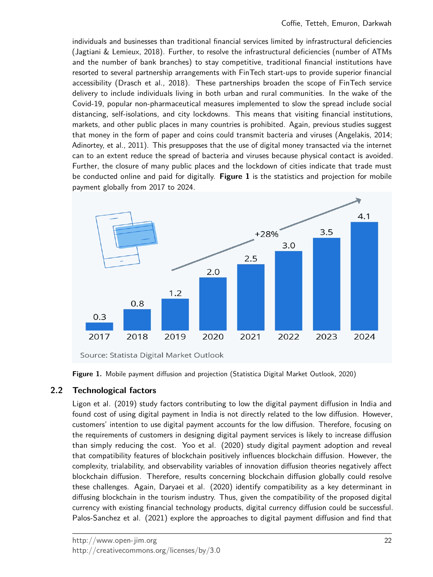individuals and businesses than traditional financial services limited by infrastructural deficiencies (Jagtiani & Lemieux, 2018). Further, to resolve the infrastructural deficiencies (number of ATMs and the number of bank branches) to stay competitive, traditional financial institutions have resorted to several partnership arrangements with FinTech start-ups to provide superior financial accessibility (Drasch et al., 2018). These partnerships broaden the scope of FinTech service delivery to include individuals living in both urban and rural communities. In the wake of the Covid-19, popular non-pharmaceutical measures implemented to slow the spread include social distancing, self-isolations, and city lockdowns. This means that visiting financial institutions, markets, and other public places in many countries is prohibited. Again, previous studies suggest that money in the form of paper and coins could transmit bacteria and viruses (Angelakis, 2014; Adinortey, et al., 2011). This presupposes that the use of digital money transacted via the internet can to an extent reduce the spread of bacteria and viruses because physical contact is avoided. Further, the closure of many public places and the lockdown of cities indicate that trade must be conducted online and paid for digitally. **Figure 1** is the statistics and projection for mobile payment globally from 2017 to 2024.



Source: Statista Digital Market Outlook

**Figure 1.** Mobile payment diffusion and projection (Statistica Digital Market Outlook, 2020)

# **2.2 Technological factors**

Ligon et al. (2019) study factors contributing to low the digital payment diffusion in India and found cost of using digital payment in India is not directly related to the low diffusion. However, customers' intention to use digital payment accounts for the low diffusion. Therefore, focusing on the requirements of customers in designing digital payment services is likely to increase diffusion than simply reducing the cost. Yoo et al. (2020) study digital payment adoption and reveal that compatibility features of blockchain positively influences blockchain diffusion. However, the complexity, trialability, and observability variables of innovation diffusion theories negatively affect blockchain diffusion. Therefore, results concerning blockchain diffusion globally could resolve these challenges. Again, Daryaei et al. (2020) identify compatibility as a key determinant in diffusing blockchain in the tourism industry. Thus, given the compatibility of the proposed digital currency with existing financial technology products, digital currency diffusion could be successful. Palos-Sanchez et al. (2021) explore the approaches to digital payment diffusion and find that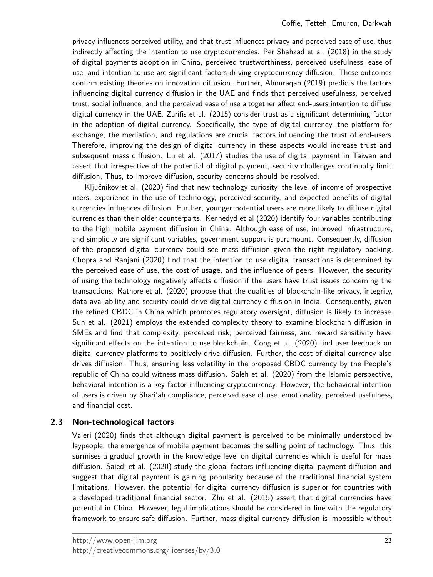privacy influences perceived utility, and that trust influences privacy and perceived ease of use, thus indirectly affecting the intention to use cryptocurrencies. Per Shahzad et al. (2018) in the study of digital payments adoption in China, perceived trustworthiness, perceived usefulness, ease of use, and intention to use are significant factors driving cryptocurrency diffusion. These outcomes confirm existing theories on innovation diffusion. Further, Almuraqab (2019) predicts the factors influencing digital currency diffusion in the UAE and finds that perceived usefulness, perceived trust, social influence, and the perceived ease of use altogether affect end-users intention to diffuse digital currency in the UAE. Zarifis et al. (2015) consider trust as a significant determining factor in the adoption of digital currency. Specifically, the type of digital currency, the platform for exchange, the mediation, and regulations are crucial factors influencing the trust of end-users. Therefore, improving the design of digital currency in these aspects would increase trust and subsequent mass diffusion. Lu et al. (2017) studies the use of digital payment in Taiwan and assert that irrespective of the potential of digital payment, security challenges continually limit diffusion, Thus, to improve diffusion, security concerns should be resolved.

Ključnikov et al. (2020) find that new technology curiosity, the level of income of prospective users, experience in the use of technology, perceived security, and expected benefits of digital currencies influences diffusion. Further, younger potential users are more likely to diffuse digital currencies than their older counterparts. Kennedyd et al (2020) identify four variables contributing to the high mobile payment diffusion in China. Although ease of use, improved infrastructure, and simplicity are significant variables, government support is paramount. Consequently, diffusion of the proposed digital currency could see mass diffusion given the right regulatory backing. Chopra and Ranjani (2020) find that the intention to use digital transactions is determined by the perceived ease of use, the cost of usage, and the influence of peers. However, the security of using the technology negatively affects diffusion if the users have trust issues concerning the transactions. Rathore et al. (2020) propose that the qualities of blockchain-like privacy, integrity, data availability and security could drive digital currency diffusion in India. Consequently, given the refined CBDC in China which promotes regulatory oversight, diffusion is likely to increase. Sun et al. (2021) employs the extended complexity theory to examine blockchain diffusion in SMEs and find that complexity, perceived risk, perceived fairness, and reward sensitivity have significant effects on the intention to use blockchain. Cong et al. (2020) find user feedback on digital currency platforms to positively drive diffusion. Further, the cost of digital currency also drives diffusion. Thus, ensuring less volatility in the proposed CBDC currency by the People's republic of China could witness mass diffusion. Saleh et al. (2020) from the Islamic perspective, behavioral intention is a key factor influencing cryptocurrency. However, the behavioral intention of users is driven by Shari'ah compliance, perceived ease of use, emotionality, perceived usefulness, and financial cost.

## **2.3 Non-technological factors**

Valeri (2020) finds that although digital payment is perceived to be minimally understood by laypeople, the emergence of mobile payment becomes the selling point of technology. Thus, this surmises a gradual growth in the knowledge level on digital currencies which is useful for mass diffusion. Saiedi et al. (2020) study the global factors influencing digital payment diffusion and suggest that digital payment is gaining popularity because of the traditional financial system limitations. However, the potential for digital currency diffusion is superior for countries with a developed traditional financial sector. Zhu et al. (2015) assert that digital currencies have potential in China. However, legal implications should be considered in line with the regulatory framework to ensure safe diffusion. Further, mass digital currency diffusion is impossible without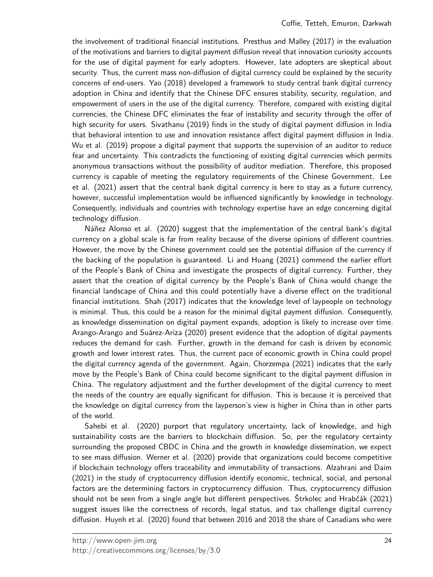the involvement of traditional financial institutions. Presthus and Malley (2017) in the evaluation of the motivations and barriers to digital payment diffusion reveal that innovation curiosity accounts for the use of digital payment for early adopters. However, late adopters are skeptical about security. Thus, the current mass non-diffusion of digital currency could be explained by the security concerns of end-users. Yao (2018) developed a framework to study central bank digital currency adoption in China and identify that the Chinese DFC ensures stability, security, regulation, and empowerment of users in the use of the digital currency. Therefore, compared with existing digital currencies, the Chinese DFC eliminates the fear of instability and security through the offer of high security for users. Sivathanu (2019) finds in the study of digital payment diffusion in India that behavioral intention to use and innovation resistance affect digital payment diffusion in India. Wu et al. (2019) propose a digital payment that supports the supervision of an auditor to reduce fear and uncertainty. This contradicts the functioning of existing digital currencies which permits anonymous transactions without the possibility of auditor mediation. Therefore, this proposed currency is capable of meeting the regulatory requirements of the Chinese Government. Lee et al. (2021) assert that the central bank digital currency is here to stay as a future currency, however, successful implementation would be influenced significantly by knowledge in technology. Consequently, individuals and countries with technology expertise have an edge concerning digital technology diffusion.

Náñez Alonso et al. (2020) suggest that the implementation of the central bank's digital currency on a global scale is far from reality because of the diverse opinions of different countries. However, the move by the Chinese government could see the potential diffusion of the currency if the backing of the population is guaranteed. Li and Huang (2021) commend the earlier effort of the People's Bank of China and investigate the prospects of digital currency. Further, they assert that the creation of digital currency by the People's Bank of China would change the financial landscape of China and this could potentially have a diverse effect on the traditional financial institutions. Shah (2017) indicates that the knowledge level of laypeople on technology is minimal. Thus, this could be a reason for the minimal digital payment diffusion. Consequently, as knowledge dissemination on digital payment expands, adoption is likely to increase over time. Arango-Arango and Suárez-Ariza (2020) present evidence that the adoption of digital payments reduces the demand for cash. Further, growth in the demand for cash is driven by economic growth and lower interest rates. Thus, the current pace of economic growth in China could propel the digital currency agenda of the government. Again, Chorzempa (2021) indicates that the early move by the People's Bank of China could become significant to the digital payment diffusion in China. The regulatory adjustment and the further development of the digital currency to meet the needs of the country are equally significant for diffusion. This is because it is perceived that the knowledge on digital currency from the layperson's view is higher in China than in other parts of the world.

Sahebi et al. (2020) purport that regulatory uncertainty, lack of knowledge, and high sustainability costs are the barriers to blockchain diffusion. So, per the regulatory certainty surrounding the proposed CBDC in China and the growth in knowledge dissemination, we expect to see mass diffusion. Werner et al. (2020) provide that organizations could become competitive if blockchain technology offers traceability and immutability of transactions. Alzahrani and Daim (2021) in the study of cryptocurrency diffusion identify economic, technical, social, and personal factors are the determining factors in cryptocurrency diffusion. Thus, cryptocurrency diffusion should not be seen from a single angle but different perspectives. Štrkolec and Hrabčák (2021) suggest issues like the correctness of records, legal status, and tax challenge digital currency diffusion. Huynh et al. (2020) found that between 2016 and 2018 the share of Canadians who were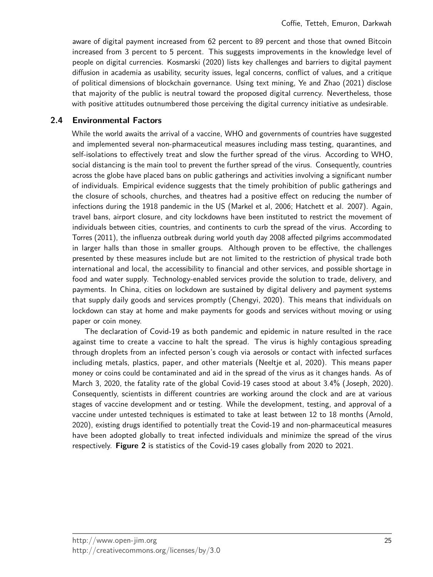aware of digital payment increased from 62 percent to 89 percent and those that owned Bitcoin increased from 3 percent to 5 percent. This suggests improvements in the knowledge level of people on digital currencies. Kosmarski (2020) lists key challenges and barriers to digital payment diffusion in academia as usability, security issues, legal concerns, conflict of values, and a critique of political dimensions of blockchain governance. Using text mining, Ye and Zhao (2021) disclose that majority of the public is neutral toward the proposed digital currency. Nevertheless, those with positive attitudes outnumbered those perceiving the digital currency initiative as undesirable.

#### **2.4 Environmental Factors**

While the world awaits the arrival of a vaccine, WHO and governments of countries have suggested and implemented several non-pharmaceutical measures including mass testing, quarantines, and self-isolations to effectively treat and slow the further spread of the virus. According to WHO, social distancing is the main tool to prevent the further spread of the virus. Consequently, countries across the globe have placed bans on public gatherings and activities involving a significant number of individuals. Empirical evidence suggests that the timely prohibition of public gatherings and the closure of schools, churches, and theatres had a positive effect on reducing the number of infections during the 1918 pandemic in the US (Markel et al, 2006; Hatchett et al. 2007). Again, travel bans, airport closure, and city lockdowns have been instituted to restrict the movement of individuals between cities, countries, and continents to curb the spread of the virus. According to Torres (2011), the influenza outbreak during world youth day 2008 affected pilgrims accommodated in larger halls than those in smaller groups. Although proven to be effective, the challenges presented by these measures include but are not limited to the restriction of physical trade both international and local, the accessibility to financial and other services, and possible shortage in food and water supply. Technology-enabled services provide the solution to trade, delivery, and payments. In China, cities on lockdown are sustained by digital delivery and payment systems that supply daily goods and services promptly (Chengyi, 2020). This means that individuals on lockdown can stay at home and make payments for goods and services without moving or using paper or coin money.

The declaration of Covid-19 as both pandemic and epidemic in nature resulted in the race against time to create a vaccine to halt the spread. The virus is highly contagious spreading through droplets from an infected person's cough via aerosols or contact with infected surfaces including metals, plastics, paper, and other materials (Neeltje et al, 2020). This means paper money or coins could be contaminated and aid in the spread of the virus as it changes hands. As of March 3, 2020, the fatality rate of the global Covid-19 cases stood at about 3.4% (Joseph, 2020). Consequently, scientists in different countries are working around the clock and are at various stages of vaccine development and or testing. While the development, testing, and approval of a vaccine under untested techniques is estimated to take at least between 12 to 18 months (Arnold, 2020), existing drugs identified to potentially treat the Covid-19 and non-pharmaceutical measures have been adopted globally to treat infected individuals and minimize the spread of the virus respectively. **Figure 2** is statistics of the Covid-19 cases globally from 2020 to 2021.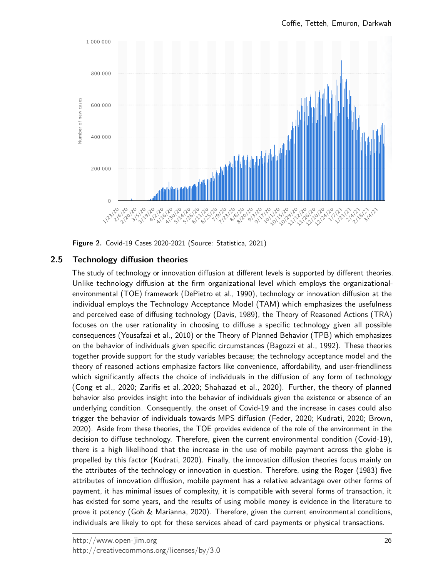

**Figure 2.** Covid-19 Cases 2020-2021 (Source: Statistica, 2021)

# **2.5 Technology diffusion theories**

The study of technology or innovation diffusion at different levels is supported by different theories. Unlike technology diffusion at the firm organizational level which employs the organizationalenvironmental (TOE) framework (DePietro et al., 1990), technology or innovation diffusion at the individual employs the Technology Acceptance Model (TAM) which emphasizes the usefulness and perceived ease of diffusing technology (Davis, 1989), the Theory of Reasoned Actions (TRA) focuses on the user rationality in choosing to diffuse a specific technology given all possible consequences (Yousafzai et al., 2010) or the Theory of Planned Behavior (TPB) which emphasizes on the behavior of individuals given specific circumstances (Bagozzi et al., 1992). These theories together provide support for the study variables because; the technology acceptance model and the theory of reasoned actions emphasize factors like convenience, affordability, and user-friendliness which significantly affects the choice of individuals in the diffusion of any form of technology (Cong et al., 2020; Zarifis et al.,2020; Shahazad et al., 2020). Further, the theory of planned behavior also provides insight into the behavior of individuals given the existence or absence of an underlying condition. Consequently, the onset of Covid-19 and the increase in cases could also trigger the behavior of individuals towards MPS diffusion (Feder, 2020; Kudrati, 2020; Brown, 2020). Aside from these theories, the TOE provides evidence of the role of the environment in the decision to diffuse technology. Therefore, given the current environmental condition (Covid-19), there is a high likelihood that the increase in the use of mobile payment across the globe is propelled by this factor (Kudrati, 2020). Finally, the innovation diffusion theories focus mainly on the attributes of the technology or innovation in question. Therefore, using the Roger (1983) five attributes of innovation diffusion, mobile payment has a relative advantage over other forms of payment, it has minimal issues of complexity, it is compatible with several forms of transaction, it has existed for some years, and the results of using mobile money is evidence in the literature to prove it potency (Goh & Marianna, 2020). Therefore, given the current environmental conditions, individuals are likely to opt for these services ahead of card payments or physical transactions.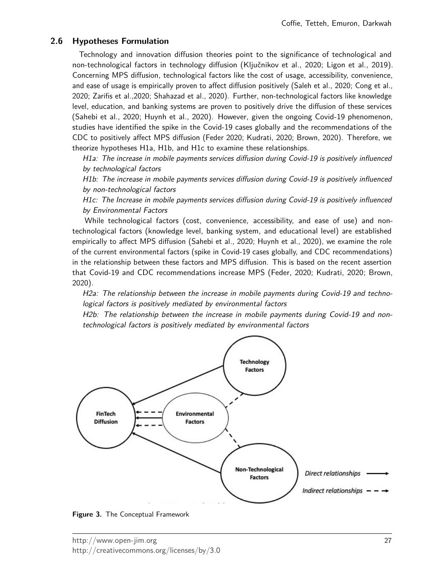## **2.6 Hypotheses Formulation**

Technology and innovation diffusion theories point to the significance of technological and non-technological factors in technology diffusion (Ključnikov et al., 2020; Ligon et al., 2019). Concerning MPS diffusion, technological factors like the cost of usage, accessibility, convenience, and ease of usage is empirically proven to affect diffusion positively (Saleh et al., 2020; Cong et al., 2020; Zarifis et al.,2020; Shahazad et al., 2020). Further, non-technological factors like knowledge level, education, and banking systems are proven to positively drive the diffusion of these services (Sahebi et al., 2020; Huynh et al., 2020). However, given the ongoing Covid-19 phenomenon, studies have identified the spike in the Covid-19 cases globally and the recommendations of the CDC to positively affect MPS diffusion (Feder 2020; Kudrati, 2020; Brown, 2020). Therefore, we theorize hypotheses H1a, H1b, and H1c to examine these relationships.

H1a: The increase in mobile payments services diffusion during Covid-19 is positively influenced by technological factors

H1b: The increase in mobile payments services diffusion during Covid-19 is positively influenced by non-technological factors

H1c: The Increase in mobile payments services diffusion during Covid-19 is positively influenced by Environmental Factors

While technological factors (cost, convenience, accessibility, and ease of use) and nontechnological factors (knowledge level, banking system, and educational level) are established empirically to affect MPS diffusion (Sahebi et al., 2020; Huynh et al., 2020), we examine the role of the current environmental factors (spike in Covid-19 cases globally, and CDC recommendations) in the relationship between these factors and MPS diffusion. This is based on the recent assertion that Covid-19 and CDC recommendations increase MPS (Feder, 2020; Kudrati, 2020; Brown, 2020).

H2a: The relationship between the increase in mobile payments during Covid-19 and technological factors is positively mediated by environmental factors

H2b: The relationship between the increase in mobile payments during Covid-19 and nontechnological factors is positively mediated by environmental factors



**Figure 3.** The Conceptual Framework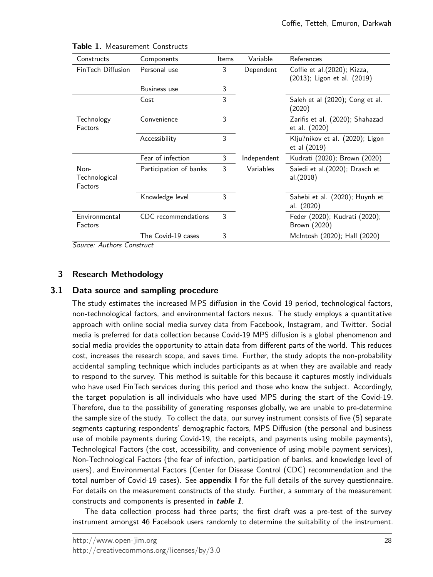| Constructs                       | Components             | <b>Items</b> | Variable    | References                                                 |
|----------------------------------|------------------------|--------------|-------------|------------------------------------------------------------|
| FinTech Diffusion                | Personal use           | 3            | Dependent   | Coffie et al.(2020); Kizza,<br>(2013); Ligon et al. (2019) |
|                                  | Business use           | 3            |             |                                                            |
|                                  | Cost                   | 3            |             | Saleh et al (2020); Cong et al.<br>(2020)                  |
| Technology<br>Factors            | Convenience            | 3            |             | Zarifis et al. (2020); Shahazad<br>et al. (2020)           |
|                                  | Accessibility          | 3            |             | Klju?nikov et al. (2020); Ligon<br>et al (2019)            |
|                                  | Fear of infection      | 3            | Independent | Kudrati (2020); Brown (2020)                               |
| Non-<br>Technological<br>Factors | Participation of banks | 3            | Variables   | Saiedi et al. (2020); Drasch et<br>al.(2018)               |
|                                  | Knowledge level        | 3            |             | Sahebi et al. (2020); Huynh et<br>al. (2020)               |
| Environmental<br>Factors         | CDC recommendations    | 3            |             | Feder (2020); Kudrati (2020);<br>Brown (2020)              |
|                                  | The Covid-19 cases     | 3            |             | McIntosh (2020); Hall (2020)                               |

| Table 1. Measurement Constructs |
|---------------------------------|
|                                 |

Source: Authors Construct

# **3 Research Methodology**

## **3.1 Data source and sampling procedure**

The study estimates the increased MPS diffusion in the Covid 19 period, technological factors, non-technological factors, and environmental factors nexus. The study employs a quantitative approach with online social media survey data from Facebook, Instagram, and Twitter. Social media is preferred for data collection because Covid-19 MPS diffusion is a global phenomenon and social media provides the opportunity to attain data from different parts of the world. This reduces cost, increases the research scope, and saves time. Further, the study adopts the non-probability accidental sampling technique which includes participants as at when they are available and ready to respond to the survey. This method is suitable for this because it captures mostly individuals who have used FinTech services during this period and those who know the subject. Accordingly, the target population is all individuals who have used MPS during the start of the Covid-19. Therefore, due to the possibility of generating responses globally, we are unable to pre-determine the sample size of the study. To collect the data, our survey instrument consists of five (5) separate segments capturing respondents' demographic factors, MPS Diffusion (the personal and business use of mobile payments during Covid-19, the receipts, and payments using mobile payments), Technological Factors (the cost, accessibility, and convenience of using mobile payment services), Non-Technological Factors (the fear of infection, participation of banks, and knowledge level of users), and Environmental Factors (Center for Disease Control (CDC) recommendation and the total number of Covid-19 cases). See **appendix I** for the full details of the survey questionnaire. For details on the measurement constructs of the study. Further, a summary of the measurement constructs and components is presented in **table 1**.

The data collection process had three parts; the first draft was a pre-test of the survey instrument amongst 46 Facebook users randomly to determine the suitability of the instrument.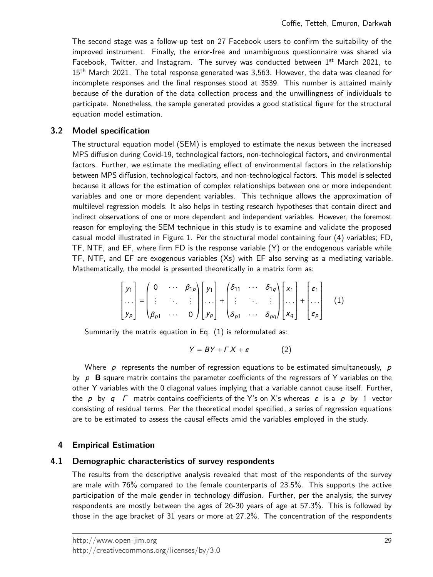The second stage was a follow-up test on 27 Facebook users to confirm the suitability of the improved instrument. Finally, the error-free and unambiguous questionnaire was shared via Facebook, Twitter, and Instagram. The survey was conducted between  $1<sup>st</sup>$  March 2021, to 15<sup>th</sup> March 2021. The total response generated was 3,563. However, the data was cleaned for incomplete responses and the final responses stood at 3539. This number is attained mainly because of the duration of the data collection process and the unwillingness of individuals to participate. Nonetheless, the sample generated provides a good statistical figure for the structural equation model estimation.

#### **3.2 Model specification**

The structural equation model (SEM) is employed to estimate the nexus between the increased MPS diffusion during Covid-19, technological factors, non-technological factors, and environmental factors. Further, we estimate the mediating effect of environmental factors in the relationship between MPS diffusion, technological factors, and non-technological factors. This model is selected because it allows for the estimation of complex relationships between one or more independent variables and one or more dependent variables. This technique allows the approximation of multilevel regression models. It also helps in testing research hypotheses that contain direct and indirect observations of one or more dependent and independent variables. However, the foremost reason for employing the SEM technique in this study is to examine and validate the proposed casual model illustrated in Figure 1. Per the structural model containing four (4) variables; FD, TF, NTF, and EF, where firm FD is the response variable (Y) or the endogenous variable while TF, NTF, and EF are exogenous variables (Xs) with EF also serving as a mediating variable. Mathematically, the model is presented theoretically in a matrix form as:

$$
\begin{bmatrix} y_1 \\ \cdots \\ y_p \end{bmatrix} = \begin{pmatrix} 0 & \cdots & \beta_{1p} \\ \vdots & \ddots & \vdots \\ \beta_{p1} & \cdots & 0 \end{pmatrix} \begin{bmatrix} y_1 \\ \cdots \\ y_p \end{bmatrix} + \begin{pmatrix} \delta_{11} & \cdots & \delta_{1q} \\ \vdots & \ddots & \vdots \\ \delta_{p1} & \cdots & \delta_{pq} \end{pmatrix} \begin{bmatrix} x_1 \\ \cdots \\ x_q \end{bmatrix} + \begin{bmatrix} \varepsilon_1 \\ \cdots \\ \varepsilon_p \end{bmatrix}
$$
 (1)

Summarily the matrix equation in Eq. (1) is reformulated as:

$$
Y = BY + \Gamma X + \varepsilon \tag{2}
$$

Where  $p$  represents the number of regression equations to be estimated simultaneously,  $p$ by  $p$  **B** square matrix contains the parameter coefficients of the regressors of Y variables on the other Y variables with the 0 diagonal values implying that a variable cannot cause itself. Further, the p by q  $\Gamma$  matrix contains coefficients of the Y's on X's whereas  $\varepsilon$  is a p by 1 vector consisting of residual terms. Per the theoretical model specified, a series of regression equations are to be estimated to assess the causal effects amid the variables employed in the study.

## **4 Empirical Estimation**

#### **4.1 Demographic characteristics of survey respondents**

The results from the descriptive analysis revealed that most of the respondents of the survey are male with 76% compared to the female counterparts of 23.5%. This supports the active participation of the male gender in technology diffusion. Further, per the analysis, the survey respondents are mostly between the ages of 26-30 years of age at 57.3%. This is followed by those in the age bracket of 31 years or more at 27.2%. The concentration of the respondents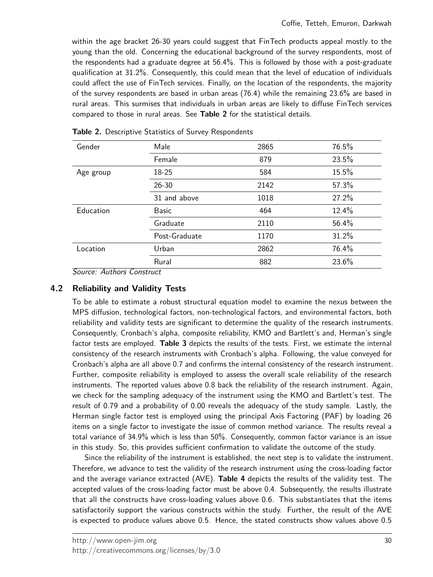within the age bracket 26-30 years could suggest that FinTech products appeal mostly to the young than the old. Concerning the educational background of the survey respondents, most of the respondents had a graduate degree at 56.4%. This is followed by those with a post-graduate qualification at 31.2%. Consequently, this could mean that the level of education of individuals could affect the use of FinTech services. Finally, on the location of the respondents, the majority of the survey respondents are based in urban areas (76.4) while the remaining 23.6% are based in rural areas. This surmises that individuals in urban areas are likely to diffuse FinTech services compared to those in rural areas. See **Table 2** for the statistical details.

| Gender    | Male          | 2865 | 76.5% |
|-----------|---------------|------|-------|
|           | Female        | 879  | 23.5% |
| Age group | 18-25         | 584  | 15.5% |
|           | $26 - 30$     | 2142 | 57.3% |
|           | 31 and above  | 1018 | 27.2% |
| Education | <b>Basic</b>  | 464  | 12.4% |
|           | Graduate      | 2110 | 56.4% |
|           | Post-Graduate | 1170 | 31.2% |
| Location  | Urban         | 2862 | 76.4% |
|           | Rural         | 882  | 23.6% |

**Table 2.** Descriptive Statistics of Survey Respondents

Source: Authors Construct

## **4.2 Reliability and Validity Tests**

To be able to estimate a robust structural equation model to examine the nexus between the MPS diffusion, technological factors, non-technological factors, and environmental factors, both reliability and validity tests are significant to determine the quality of the research instruments. Consequently, Cronbach's alpha, composite reliability, KMO and Bartlett's and, Herman's single factor tests are employed. **Table 3** depicts the results of the tests. First, we estimate the internal consistency of the research instruments with Cronbach's alpha. Following, the value conveyed for Cronbach's alpha are all above 0.7 and confirms the internal consistency of the research instrument. Further, composite reliability is employed to assess the overall scale reliability of the research instruments. The reported values above 0.8 back the reliability of the research instrument. Again, we check for the sampling adequacy of the instrument using the KMO and Bartlett's test. The result of 0.79 and a probability of 0.00 reveals the adequacy of the study sample. Lastly, the Herman single factor test is employed using the principal Axis Factoring (PAF) by loading 26 items on a single factor to investigate the issue of common method variance. The results reveal a total variance of 34.9% which is less than 50%. Consequently, common factor variance is an issue in this study. So, this provides sufficient confirmation to validate the outcome of the study.

Since the reliability of the instrument is established, the next step is to validate the instrument. Therefore, we advance to test the validity of the research instrument using the cross-loading factor and the average variance extracted (AVE). **Table 4** depicts the results of the validity test. The accepted values of the cross-loading factor must be above 0.4. Subsequently, the results illustrate that all the constructs have cross-loading values above 0.6. This substantiates that the items satisfactorily support the various constructs within the study. Further, the result of the AVE is expected to produce values above 0.5. Hence, the stated constructs show values above 0.5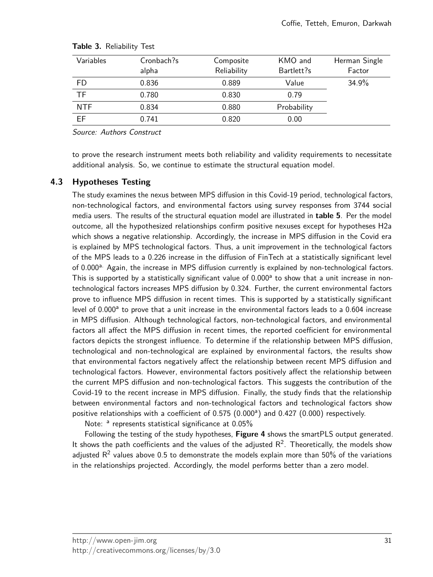| Variables  | Cronbach?s<br>alpha | Composite<br>Reliability | KMO and<br>Bartlett?s | Herman Single<br>Factor |
|------------|---------------------|--------------------------|-----------------------|-------------------------|
| <b>FD</b>  | 0.836               | 0.889                    | Value                 | 34.9%                   |
| <b>TF</b>  | 0.780               | 0.830                    | 0.79                  |                         |
| <b>NTF</b> | 0.834               | 0.880                    | Probability           |                         |
| <b>EF</b>  | 0.741               | 0.820                    | 0.00                  |                         |

#### **Table 3.** Reliability Test

Source: Authors Construct

to prove the research instrument meets both reliability and validity requirements to necessitate additional analysis. So, we continue to estimate the structural equation model.

## **4.3 Hypotheses Testing**

The study examines the nexus between MPS diffusion in this Covid-19 period, technological factors, non-technological factors, and environmental factors using survey responses from 3744 social media users. The results of the structural equation model are illustrated in **table 5**. Per the model outcome, all the hypothesized relationships confirm positive nexuses except for hypotheses H2a which shows a negative relationship. Accordingly, the increase in MPS diffusion in the Covid era is explained by MPS technological factors. Thus, a unit improvement in the technological factors of the MPS leads to a 0.226 increase in the diffusion of FinTech at a statistically significant level of 0.000<sup>a.</sup> Again, the increase in MPS diffusion currently is explained by non-technological factors. This is supported by a statistically significant value of 0.000<sup>a</sup> to show that a unit increase in nontechnological factors increases MPS diffusion by 0.324. Further, the current environmental factors prove to influence MPS diffusion in recent times. This is supported by a statistically significant level of 0.000<sup>a</sup> to prove that a unit increase in the environmental factors leads to a 0.604 increase in MPS diffusion. Although technological factors, non-technological factors, and environmental factors all affect the MPS diffusion in recent times, the reported coefficient for environmental factors depicts the strongest influence. To determine if the relationship between MPS diffusion, technological and non-technological are explained by environmental factors, the results show that environmental factors negatively affect the relationship between recent MPS diffusion and technological factors. However, environmental factors positively affect the relationship between the current MPS diffusion and non-technological factors. This suggests the contribution of the Covid-19 to the recent increase in MPS diffusion. Finally, the study finds that the relationship between environmental factors and non-technological factors and technological factors show positive relationships with a coefficient of  $0.575$   $(0.000)$  and  $0.427$   $(0.000)$  respectively.

Note: <sup>a</sup> represents statistical significance at 0.05%

Following the testing of the study hypotheses, **Figure 4** shows the smartPLS output generated. It shows the path coefficients and the values of the adjusted  $R^2$ . Theoretically, the models show adjusted  $\mathsf{R}^2$  values above 0.5 to demonstrate the models explain more than 50% of the variations in the relationships projected. Accordingly, the model performs better than a zero model.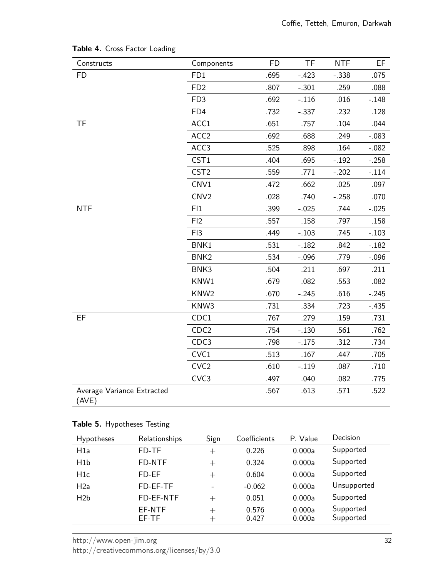| Constructs                          | Components       | <b>FD</b> | TF       | <b>NTF</b> | EF      |
|-------------------------------------|------------------|-----------|----------|------------|---------|
| <b>FD</b>                           | FD1              | .695      | $-.423$  | $-.338$    | .075    |
|                                     | FD <sub>2</sub>  | .807      | $-.301$  | .259       | .088    |
|                                     | FD <sub>3</sub>  | .692      | $-.116$  | .016       | $-.148$ |
|                                     | FD4              | .732      | $-0.337$ | .232       | .128    |
| <b>TF</b>                           | ACC1             | .651      | .757     | .104       | .044    |
|                                     | ACC <sub>2</sub> | .692      | .688     | .249       | $-.083$ |
|                                     | ACC3             | .525      | .898     | .164       | $-.082$ |
|                                     | CST1             | .404      | .695     | $-.192$    | $-.258$ |
|                                     | CST <sub>2</sub> | .559      | .771     | $-.202$    | $-.114$ |
|                                     | CNV1             | .472      | .662     | .025       | .097    |
|                                     | CNV <sub>2</sub> | .028      | .740     | $-.258$    | .070    |
| <b>NTF</b>                          | FI1              | .399      | $-.025$  | .744       | $-.025$ |
|                                     | FI2              | .557      | .158     | .797       | .158    |
|                                     | FI3              | .449      | $-.103$  | .745       | $-.103$ |
|                                     | BNK1             | .531      | $-.182$  | .842       | $-.182$ |
|                                     | BNK <sub>2</sub> | .534      | $-.096$  | .779       | $-.096$ |
|                                     | BNK3             | .504      | .211     | .697       | .211    |
|                                     | KNW1             | .679      | .082     | .553       | .082    |
|                                     | KNW <sub>2</sub> | .670      | $-.245$  | .616       | $-.245$ |
|                                     | KNW3             | .731      | .334     | .723       | $-.435$ |
| EF                                  | CDC1             | .767      | .279     | .159       | .731    |
|                                     | CDC <sub>2</sub> | .754      | $-.130$  | .561       | .762    |
|                                     | CDC3             | .798      | $-.175$  | .312       | .734    |
|                                     | CVC1             | .513      | .167     | .447       | .705    |
|                                     | CVC <sub>2</sub> | .610      | $-.119$  | .087       | .710    |
|                                     | CVC <sub>3</sub> | .497      | .040     | .082       | .775    |
| Average Variance Extracted<br>(AVE) |                  | .567      | .613     | .571       | .522    |

# **Table 4.** Cross Factor Loading

## **Table 5.** Hypotheses Testing

| Hypotheses       | Relationships   | Sign                      | Coefficients   | P. Value         | Decision               |
|------------------|-----------------|---------------------------|----------------|------------------|------------------------|
| H1a              | FD-TF           | $^{+}$                    | 0.226          | 0.000a           | Supported              |
| H <sub>1</sub> b | FD-NTF          | $^{+}$                    | 0.324          | 0.000a           | Supported              |
| H <sub>1</sub> c | FD-EF           | $+$                       | 0.604          | 0.000a           | Supported              |
| H2a              | FD-EF-TF        |                           | $-0.062$       | 0.000a           | Unsupported            |
| H2b              | FD-EF-NTF       | $^{+}$                    | 0.051          | 0.000a           | Supported              |
|                  | EF-NTF<br>FF-TF | $^{+}$<br>$^{\mathrm{+}}$ | 0.576<br>0.427 | 0.000a<br>0.000a | Supported<br>Supported |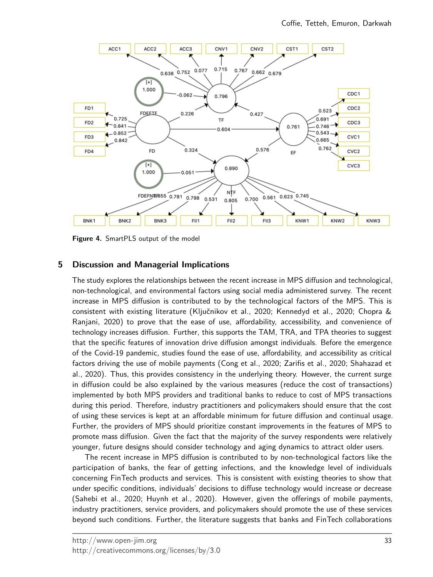

**Figure 4.** SmartPLS output of the model

## **5 Discussion and Managerial Implications**

The study explores the relationships between the recent increase in MPS diffusion and technological, non-technological, and environmental factors using social media administered survey. The recent increase in MPS diffusion is contributed to by the technological factors of the MPS. This is consistent with existing literature (Ključnikov et al., 2020; Kennedyd et al., 2020; Chopra & Ranjani, 2020) to prove that the ease of use, affordability, accessibility, and convenience of technology increases diffusion. Further, this supports the TAM, TRA, and TPA theories to suggest that the specific features of innovation drive diffusion amongst individuals. Before the emergence of the Covid-19 pandemic, studies found the ease of use, affordability, and accessibility as critical factors driving the use of mobile payments (Cong et al., 2020; Zarifis et al., 2020; Shahazad et al., 2020). Thus, this provides consistency in the underlying theory. However, the current surge in diffusion could be also explained by the various measures (reduce the cost of transactions) implemented by both MPS providers and traditional banks to reduce to cost of MPS transactions during this period. Therefore, industry practitioners and policymakers should ensure that the cost of using these services is kept at an affordable minimum for future diffusion and continual usage. Further, the providers of MPS should prioritize constant improvements in the features of MPS to promote mass diffusion. Given the fact that the majority of the survey respondents were relatively younger, future designs should consider technology and aging dynamics to attract older users.

The recent increase in MPS diffusion is contributed to by non-technological factors like the participation of banks, the fear of getting infections, and the knowledge level of individuals concerning FinTech products and services. This is consistent with existing theories to show that under specific conditions, individuals' decisions to diffuse technology would increase or decrease (Sahebi et al., 2020; Huynh et al., 2020). However, given the offerings of mobile payments, industry practitioners, service providers, and policymakers should promote the use of these services beyond such conditions. Further, the literature suggests that banks and FinTech collaborations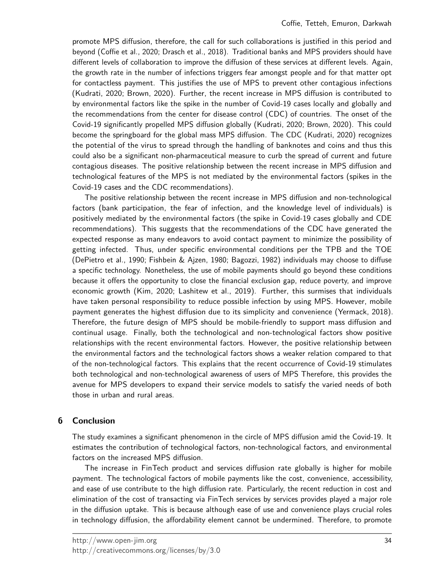promote MPS diffusion, therefore, the call for such collaborations is justified in this period and beyond (Coffie et al., 2020; Drasch et al., 2018). Traditional banks and MPS providers should have different levels of collaboration to improve the diffusion of these services at different levels. Again, the growth rate in the number of infections triggers fear amongst people and for that matter opt for contactless payment. This justifies the use of MPS to prevent other contagious infections (Kudrati, 2020; Brown, 2020). Further, the recent increase in MPS diffusion is contributed to by environmental factors like the spike in the number of Covid-19 cases locally and globally and the recommendations from the center for disease control (CDC) of countries. The onset of the Covid-19 significantly propelled MPS diffusion globally (Kudrati, 2020; Brown, 2020). This could become the springboard for the global mass MPS diffusion. The CDC (Kudrati, 2020) recognizes the potential of the virus to spread through the handling of banknotes and coins and thus this could also be a significant non-pharmaceutical measure to curb the spread of current and future contagious diseases. The positive relationship between the recent increase in MPS diffusion and technological features of the MPS is not mediated by the environmental factors (spikes in the Covid-19 cases and the CDC recommendations).

The positive relationship between the recent increase in MPS diffusion and non-technological factors (bank participation, the fear of infection, and the knowledge level of individuals) is positively mediated by the environmental factors (the spike in Covid-19 cases globally and CDE recommendations). This suggests that the recommendations of the CDC have generated the expected response as many endeavors to avoid contact payment to minimize the possibility of getting infected. Thus, under specific environmental conditions per the TPB and the TOE (DePietro et al., 1990; Fishbein & Ajzen, 1980; Bagozzi, 1982) individuals may choose to diffuse a specific technology. Nonetheless, the use of mobile payments should go beyond these conditions because it offers the opportunity to close the financial exclusion gap, reduce poverty, and improve economic growth (Kim, 2020; Lashitew et al., 2019). Further, this surmises that individuals have taken personal responsibility to reduce possible infection by using MPS. However, mobile payment generates the highest diffusion due to its simplicity and convenience (Yermack, 2018). Therefore, the future design of MPS should be mobile-friendly to support mass diffusion and continual usage. Finally, both the technological and non-technological factors show positive relationships with the recent environmental factors. However, the positive relationship between the environmental factors and the technological factors shows a weaker relation compared to that of the non-technological factors. This explains that the recent occurrence of Covid-19 stimulates both technological and non-technological awareness of users of MPS Therefore, this provides the avenue for MPS developers to expand their service models to satisfy the varied needs of both those in urban and rural areas.

## **6 Conclusion**

The study examines a significant phenomenon in the circle of MPS diffusion amid the Covid-19. It estimates the contribution of technological factors, non-technological factors, and environmental factors on the increased MPS diffusion.

The increase in FinTech product and services diffusion rate globally is higher for mobile payment. The technological factors of mobile payments like the cost, convenience, accessibility, and ease of use contribute to the high diffusion rate. Particularly, the recent reduction in cost and elimination of the cost of transacting via FinTech services by services provides played a major role in the diffusion uptake. This is because although ease of use and convenience plays crucial roles in technology diffusion, the affordability element cannot be undermined. Therefore, to promote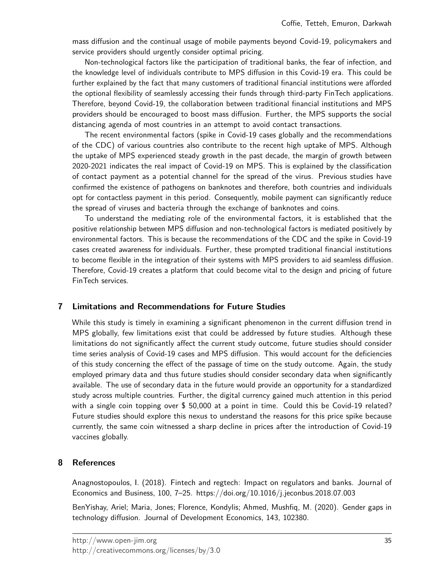mass diffusion and the continual usage of mobile payments beyond Covid-19, policymakers and service providers should urgently consider optimal pricing.

Non-technological factors like the participation of traditional banks, the fear of infection, and the knowledge level of individuals contribute to MPS diffusion in this Covid-19 era. This could be further explained by the fact that many customers of traditional financial institutions were afforded the optional flexibility of seamlessly accessing their funds through third-party FinTech applications. Therefore, beyond Covid-19, the collaboration between traditional financial institutions and MPS providers should be encouraged to boost mass diffusion. Further, the MPS supports the social distancing agenda of most countries in an attempt to avoid contact transactions.

The recent environmental factors (spike in Covid-19 cases globally and the recommendations of the CDC) of various countries also contribute to the recent high uptake of MPS. Although the uptake of MPS experienced steady growth in the past decade, the margin of growth between 2020-2021 indicates the real impact of Covid-19 on MPS. This is explained by the classification of contact payment as a potential channel for the spread of the virus. Previous studies have confirmed the existence of pathogens on banknotes and therefore, both countries and individuals opt for contactless payment in this period. Consequently, mobile payment can significantly reduce the spread of viruses and bacteria through the exchange of banknotes and coins.

To understand the mediating role of the environmental factors, it is established that the positive relationship between MPS diffusion and non-technological factors is mediated positively by environmental factors. This is because the recommendations of the CDC and the spike in Covid-19 cases created awareness for individuals. Further, these prompted traditional financial institutions to become flexible in the integration of their systems with MPS providers to aid seamless diffusion. Therefore, Covid-19 creates a platform that could become vital to the design and pricing of future FinTech services.

## **7 Limitations and Recommendations for Future Studies**

While this study is timely in examining a significant phenomenon in the current diffusion trend in MPS globally, few limitations exist that could be addressed by future studies. Although these limitations do not significantly affect the current study outcome, future studies should consider time series analysis of Covid-19 cases and MPS diffusion. This would account for the deficiencies of this study concerning the effect of the passage of time on the study outcome. Again, the study employed primary data and thus future studies should consider secondary data when significantly available. The use of secondary data in the future would provide an opportunity for a standardized study across multiple countries. Further, the digital currency gained much attention in this period with a single coin topping over \$ 50,000 at a point in time. Could this be Covid-19 related? Future studies should explore this nexus to understand the reasons for this price spike because currently, the same coin witnessed a sharp decline in prices after the introduction of Covid-19 vaccines globally.

## **8 References**

Anagnostopoulos, I. (2018). Fintech and regtech: Impact on regulators and banks. Journal of Economics and Business, 100, 7–25. https://doi.org/10.1016/j.jeconbus.2018.07.003

BenYishay, Ariel; Maria, Jones; Florence, Kondylis; Ahmed, Mushfiq, M. (2020). Gender gaps in technology diffusion. Journal of Development Economics, 143, 102380.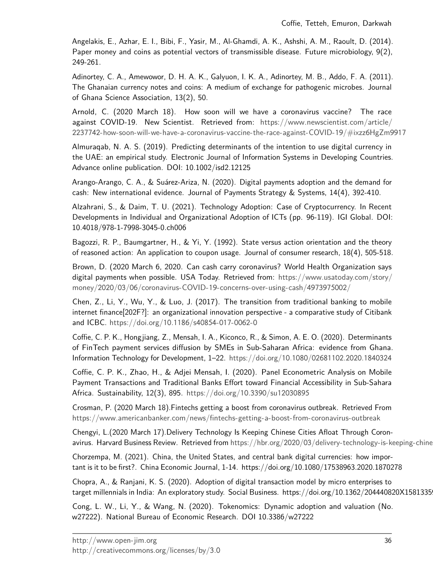Angelakis, E., Azhar, E. I., Bibi, F., Yasir, M., Al-Ghamdi, A. K., Ashshi, A. M., Raoult, D. (2014). Paper money and coins as potential vectors of transmissible disease. Future microbiology, 9(2), 249-261.

Adinortey, C. A., Amewowor, D. H. A. K., Galyuon, I. K. A., Adinortey, M. B., Addo, F. A. (2011). The Ghanaian currency notes and coins: A medium of exchange for pathogenic microbes. Journal of Ghana Science Association, 13(2), 50.

Arnold, C. (2020 March 18). How soon will we have a coronavirus vaccine? The race against COVID-19. New Scientist. Retrieved from: [https://www.newscientist.com/article/](https://www.newscientist.com/article/2237742-how-soon-will-we-have-a-coronavirus-vaccine-the-race-against-COVID-19/#ixzz6HgZm9917) 2237742[-how-soon-will-we-have-a-coronavirus-vaccine-the-race-against-COVID-](https://www.newscientist.com/article/2237742-how-soon-will-we-have-a-coronavirus-vaccine-the-race-against-COVID-19/#ixzz6HgZm9917)19/#ixzz6HgZm9917

Almuraqab, N. A. S. (2019). Predicting determinants of the intention to use digital currency in the UAE: an empirical study. Electronic Journal of Information Systems in Developing Countries. Advance online publication. DOI: 10.1002/isd2.12125

Arango-Arango, C. A., & Suárez-Ariza, N. (2020). Digital payments adoption and the demand for cash: New international evidence. Journal of Payments Strategy & Systems, 14(4), 392-410.

Alzahrani, S., & Daim, T. U. (2021). Technology Adoption: Case of Cryptocurrency. In Recent Developments in Individual and Organizational Adoption of ICTs (pp. 96-119). IGI Global. DOI: 10.4018/978-1-7998-3045-0.ch006

Bagozzi, R. P., Baumgartner, H., & Yi, Y. (1992). State versus action orientation and the theory of reasoned action: An application to coupon usage. Journal of consumer research, 18(4), 505-518.

Brown, D. (2020 March 6, 2020. Can cash carry coronavirus? World Health Organization says digital payments when possible. USA Today. Retrieved from: [https://www.usatoday.com/story/](https://www.usatoday.com/story/money/2020/03/06/coronavirus-COVID-19-concerns-over-using-cash/4973975002/) money/2020/03/06/coronavirus-COVID-19[-concerns-over-using-cash/](https://www.usatoday.com/story/money/2020/03/06/coronavirus-COVID-19-concerns-over-using-cash/4973975002/)4973975002/

Chen, Z., Li, Y., Wu, Y., & Luo, J. (2017). The transition from traditional banking to mobile internet finance[202F?]: an organizational innovation perspective - a comparative study of Citibank and ICBC. [https://doi.org/](https://doi.org/10.1186/s40854-017-0062-0)10.1186/s40854-017-0062-0

Coffie, C. P. K., Hongjiang, Z., Mensah, I. A., Kiconco, R., & Simon, A. E. O. (2020). Determinants of FinTech payment services diffusion by SMEs in Sub-Saharan Africa: evidence from Ghana. Information Technology for Development, 1–22. [https://doi.org/](https://doi.org/10.1080/02681102.2020.1840324)10.1080/02681102.2020.1840324

Coffie, C. P. K., Zhao, H., & Adjei Mensah, I. (2020). Panel Econometric Analysis on Mobile Payment Transactions and Traditional Banks Effort toward Financial Accessibility in Sub-Sahara Africa. Sustainability, 12(3), 895. [https://doi.org/](https://doi.org/10.3390/su12030895)10.3390/su12030895

Crosman, P. (2020 March 18).Fintechs getting a boost from coronavirus outbreak. Retrieved From <https://www.americanbanker.com/news/fintechs-getting-a-boost-from-coronavirus-outbreak>

Chengyi, L.(2020 March 17).Delivery Technology Is Keeping Chinese Cities Afloat Through Coronavirus. Harvard Business Review. Retrieved from https://hbr.org/2020/03/delivery-technology-is-keeping-chine

Chorzempa, M. (2021). China, the United States, and central bank digital currencies: how important is it to be first?. China Economic Journal, 1-14. https://doi.org/10.1080/17538963.2020.1870278

Chopra, A., & Ranjani, K. S. (2020). Adoption of digital transaction model by micro enterprises to target millennials in India: An exploratory study. Social Business. https://doi.org/10.1362/204440820X15813359

Cong, L. W., Li, Y., & Wang, N. (2020). Tokenomics: Dynamic adoption and valuation (No. w27222). National Bureau of Economic Research. DOI 10.3386/w27222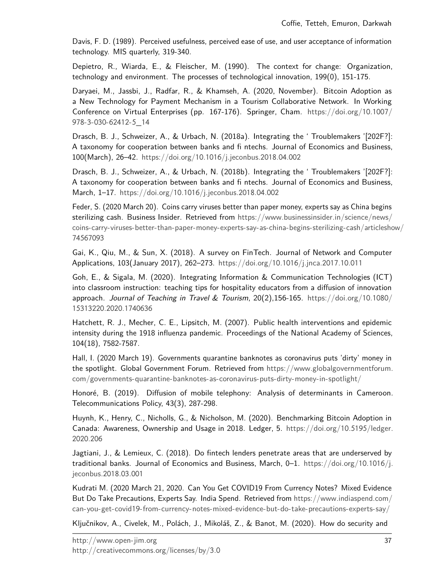Davis, F. D. (1989). Perceived usefulness, perceived ease of use, and user acceptance of information technology. MIS quarterly, 319-340.

Depietro, R., Wiarda, E., & Fleischer, M. (1990). The context for change: Organization, technology and environment. The processes of technological innovation, 199(0), 151-175.

Daryaei, M., Jassbi, J., Radfar, R., & Khamseh, A. (2020, November). Bitcoin Adoption as a New Technology for Payment Mechanism in a Tourism Collaborative Network. In Working Conference on Virtual Enterprises (pp. 167-176). Springer, Cham. [https://doi.org/](https://doi.org/10.1007/978-3-030-62412-5_14)10.1007/ 978-3-030-[62412](https://doi.org/10.1007/978-3-030-62412-5_14)-5\_14

Drasch, B. J., Schweizer, A., & Urbach, N. (2018a). Integrating the ' Troublemakers '[202F?]: A taxonomy for cooperation between banks and fi ntechs. Journal of Economics and Business, 100(March), 26–42. [https://doi.org/](https://doi.org/10.1016/j.jeconbus.2018.04.002)10.1016/j.jeconbus.2018.04.002

Drasch, B. J., Schweizer, A., & Urbach, N. (2018b). Integrating the ' Troublemakers '[202F?]: A taxonomy for cooperation between banks and fi ntechs. Journal of Economics and Business, March, 1–17. [https://doi.org/](https://doi.org/10.1016/j.jeconbus.2018.04.002)10.1016/j.jeconbus.2018.04.002

Feder, S. (2020 March 20). Coins carry viruses better than paper money, experts say as China begins sterilizing cash. Business Insider. Retrieved from [https://www.businessinsider.in/science/news/](https://www.businessinsider.in/science/news/coins-carry-viruses-better-than-paper-money-experts-say-as-china-begins-sterilizing-cash/articleshow/74567093) [coins-carry-viruses-better-than-paper-money-experts-say-as-china-begins-sterilizing-cash/articlesho](https://www.businessinsider.in/science/news/coins-carry-viruses-better-than-paper-money-experts-say-as-china-begins-sterilizing-cash/articleshow/74567093)w/ [74567093](https://www.businessinsider.in/science/news/coins-carry-viruses-better-than-paper-money-experts-say-as-china-begins-sterilizing-cash/articleshow/74567093)

Gai, K., Qiu, M., & Sun, X. (2018). A survey on FinTech. Journal of Network and Computer Applications, 103(January 2017), 262–273. [https://doi.org/](https://doi.org/10.1016/j.jnca.2017.10.011)10.1016/j.jnca.2017.10.011

Goh, E., & Sigala, M. (2020). Integrating Information & Communication Technologies (ICT) into classroom instruction: teaching tips for hospitality educators from a diffusion of innovation approach. Journal of Teaching in Travel & Tourism,  $20(2)$ , 156-165. [https://doi.org/](https://doi.org/10.1080/15313220.2020.1740636)10.1080/ [15313220](https://doi.org/10.1080/15313220.2020.1740636).2020.1740636

Hatchett, R. J., Mecher, C. E., Lipsitch, M. (2007). Public health interventions and epidemic intensity during the 1918 influenza pandemic. Proceedings of the National Academy of Sciences, 104(18), 7582-7587.

Hall, I. (2020 March 19). Governments quarantine banknotes as coronavirus puts 'dirty' money in the spotlight. Global Government Forum. Retrieved from [https://www.globalgovernmentforum.](https://www.globalgovernmentforum.com/governments-quarantine-banknotes-as-coronavirus-puts-dirty-money-in-spotlight/) [com/governments-quarantine-banknotes-as-coronavirus-puts-dirty-money-in-spotlight/](https://www.globalgovernmentforum.com/governments-quarantine-banknotes-as-coronavirus-puts-dirty-money-in-spotlight/)

Honoré, B. (2019). Diffusion of mobile telephony: Analysis of determinants in Cameroon. Telecommunications Policy, 43(3), 287-298.

Huynh, K., Henry, C., Nicholls, G., & Nicholson, M. (2020). Benchmarking Bitcoin Adoption in Canada: Awareness, Ownership and Usage in 2018. Ledger, 5. [https://doi.org/](https://doi.org/10.5195/ledger.2020.206)10.5195/ledger. [2020](https://doi.org/10.5195/ledger.2020.206).206

Jagtiani, J., & Lemieux, C. (2018). Do fintech lenders penetrate areas that are underserved by traditional banks. Journal of Economics and Business, March,  $0-1$ . [https://doi.org/](https://doi.org/10.1016/j.jeconbus.2018.03.001)10.1016/j. [jeconbus.](https://doi.org/10.1016/j.jeconbus.2018.03.001)2018.03.001

Kudrati M. (2020 March 21, 2020. Can You Get COVID19 From Currency Notes? Mixed Evidence But Do Take Precautions, Experts Say. India Spend. Retrieved from [https://www.indiaspend.com/](https://www.indiaspend.com/can-you-get-covid19-from-currency-notes-mixed-evidence-but-do-take-precautions-experts-say/) can-you-get-covid19[-from-currency-notes-mixed-evidence-but-do-take-precautions-experts-say/](https://www.indiaspend.com/can-you-get-covid19-from-currency-notes-mixed-evidence-but-do-take-precautions-experts-say/)

Ključnikov, A., Civelek, M., Polách, J., Mikoláš, Z., & Banot, M. (2020). How do security and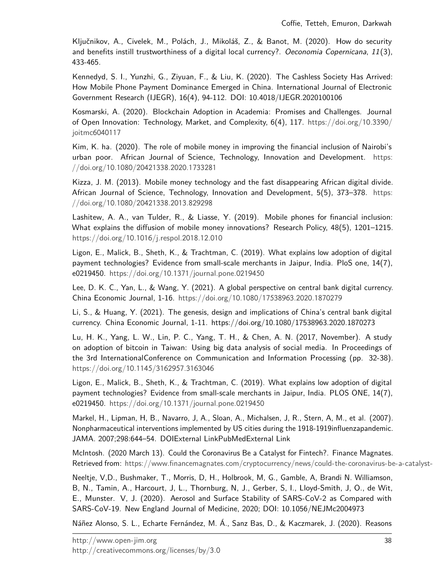Ključnikov, A., Civelek, M., Polách, J., Mikoláš, Z., & Banot, M. (2020). How do security and benefits instill trustworthiness of a digital local currency?. Oeconomia Copernicana, 11(3), 433-465.

Kennedyd, S. I., Yunzhi, G., Ziyuan, F., & Liu, K. (2020). The Cashless Society Has Arrived: How Mobile Phone Payment Dominance Emerged in China. International Journal of Electronic Government Research (IJEGR), 16(4), 94-112. DOI: 10.4018/IJEGR.2020100106

Kosmarski, A. (2020). Blockchain Adoption in Academia: Promises and Challenges. Journal of Open Innovation: Technology, Market, and Complexity, 6(4), 117. [https://doi.org/](https://doi.org/10.3390/joitmc6040117)10.3390/ joitmc[6040117](https://doi.org/10.3390/joitmc6040117)

Kim, K. ha. (2020). The role of mobile money in improving the financial inclusion of Nairobi's urban poor. African Journal of Science, Technology, Innovation and Development. [https:](https://doi.org/10.1080/20421338.2020.1733281) [//doi.org/](https://doi.org/10.1080/20421338.2020.1733281)10.1080/20421338.2020.1733281

Kizza, J. M. (2013). Mobile money technology and the fast disappearing African digital divide. African Journal of Science, Technology, Innovation and Development, 5(5), 373–378. [https:](https://doi.org/10.1080/20421338.2013.829298) [//doi.org/](https://doi.org/10.1080/20421338.2013.829298)10.1080/20421338.2013.829298

Lashitew, A. A., van Tulder, R., & Liasse, Y. (2019). Mobile phones for financial inclusion: What explains the diffusion of mobile money innovations? Research Policy, 48(5), 1201–1215. [https://doi.org/](https://doi.org/10.1016/j.respol.2018.12.010)10.1016/j.respol.2018.12.010

Ligon, E., Malick, B., Sheth, K., & Trachtman, C. (2019). What explains low adoption of digital payment technologies? Evidence from small-scale merchants in Jaipur, India. PloS one, 14(7), e0219450. [https://doi.org/](https://doi.org/10.1371/journal.pone.0219450)10.1371/journal.pone.0219450

Lee, D. K. C., Yan, L., & Wang, Y. (2021). A global perspective on central bank digital currency. China Economic Journal, 1-16. [https://doi.org/](https://doi.org/10.1080/17538963.2020.1870279)10.1080/17538963.2020.1870279

Li, S., & Huang, Y. (2021). The genesis, design and implications of China's central bank digital currency. China Economic Journal, 1-11. https://doi.org/10.1080/17538963.2020.1870273

Lu, H. K., Yang, L. W., Lin, P. C., Yang, T. H., & Chen, A. N. (2017, November). A study on adoption of bitcoin in Taiwan: Using big data analysis of social media. In Proceedings of the 3rd InternationalConference on Communication and Information Processing (pp. 32-38). [https://doi.org/](https://doi.org/10.1145/3162957.3163046)10.1145/3162957.3163046

Ligon, E., Malick, B., Sheth, K., & Trachtman, C. (2019). What explains low adoption of digital payment technologies? Evidence from small-scale merchants in Jaipur, India. PLOS ONE, 14(7), e0219450. [https://doi.org/](https://doi.org/10.1371/journal.pone.0219450)10.1371/journal.pone.0219450

Markel, H., Lipman, H, B., Navarro, J, A., Sloan, A., Michalsen, J, R., Stern, A, M., et al. (2007). Nonpharmaceutical interventions implemented by US cities during the 1918-1919influenzapandemic. JAMA. 2007;298:644–54. DOIExternal LinkPubMedExternal Link

McIntosh. (2020 March 13). Could the Coronavirus Be a Catalyst for Fintech?. Finance Magnates. Retrieved from: https://www.financemagnates.com/cryptocurrency/news/could-the-coronavirus-be-a-catalyst-

Neeltje, V,D., Bushmaker, T., Morris, D, H., Holbrook, M, G., Gamble, A, Brandi N. Williamson, B, N., Tamin, A., Harcourt, J, L., Thornburg, N, J., Gerber, S, I., Lloyd-Smith, J, O., de Wit, E., Munster. V, J. (2020). Aerosol and Surface Stability of SARS-CoV-2 as Compared with SARS-CoV-19. New England Journal of Medicine, 2020; DOI: 10.1056/NEJMc2004973

Náñez Alonso, S. L., Echarte Fernández, M. Á., Sanz Bas, D., & Kaczmarek, J. (2020). Reasons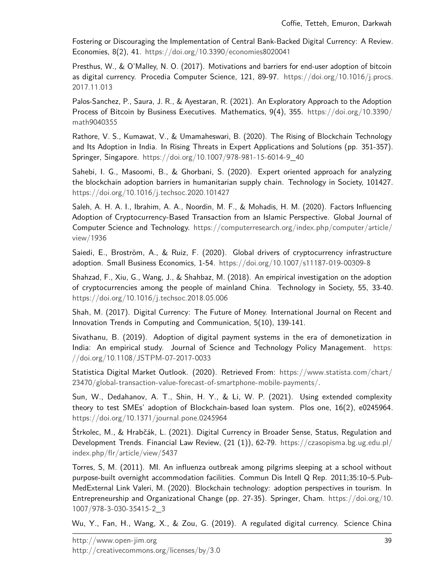Fostering or Discouraging the Implementation of Central Bank-Backed Digital Currency: A Review. Economies, 8(2), 41. [https://doi.org/](https://doi.org/10.3390/economies8020041)10.3390/economies8020041

Presthus, W., & O'Malley, N. O. (2017). Motivations and barriers for end-user adoption of bitcoin as digital currency. Procedia Computer Science, 121, 89-97. [https://doi.org/](https://doi.org/10.1016/j.procs.2017.11.013)10.1016/j.procs. [2017](https://doi.org/10.1016/j.procs.2017.11.013).11.013

Palos-Sanchez, P., Saura, J. R., & Ayestaran, R. (2021). An Exploratory Approach to the Adoption Process of Bitcoin by Business Executives. Mathematics, 9(4), 355. [https://doi.org/](https://doi.org/10.3390/math9040355)10.3390/ math[9040355](https://doi.org/10.3390/math9040355)

Rathore, V. S., Kumawat, V., & Umamaheswari, B. (2020). The Rising of Blockchain Technology and Its Adoption in India. In Rising Threats in Expert Applications and Solutions (pp. 351-357). Springer, Singapore. [https://doi.org/](https://doi.org/10.1007/978-981-15-6014-9_40)10.1007/978-981-15-6014-9\_40

Sahebi, I. G., Masoomi, B., & Ghorbani, S. (2020). Expert oriented approach for analyzing the blockchain adoption barriers in humanitarian supply chain. Technology in Society, 101427. [https://doi.org/](https://doi.org/10.1016/j.techsoc.2020.101427)10.1016/j.techsoc.2020.101427

Saleh, A. H. A. I., Ibrahim, A. A., Noordin, M. F., & Mohadis, H. M. (2020). Factors Influencing Adoption of Cryptocurrency-Based Transaction from an Islamic Perspective. Global Journal of Computer Science and Technology. [https://computerresearch.org/index.php/computer/article/](https://computerresearch.org/index.php/computer/article/view/1936) [view/](https://computerresearch.org/index.php/computer/article/view/1936)1936

Saiedi, E., Broström, A., & Ruiz, F. (2020). Global drivers of cryptocurrency infrastructure adoption. Small Business Economics, 1-54. [https://doi.org/](https://doi.org/10.1007/s11187-019-00309-8)10.1007/s11187-019-00309-8

Shahzad, F., Xiu, G., Wang, J., & Shahbaz, M. (2018). An empirical investigation on the adoption of cryptocurrencies among the people of mainland China. Technology in Society, 55, 33-40. [https://doi.org/](https://doi.org/10.1016/j.techsoc.2018.05.006)10.1016/j.techsoc.2018.05.006

Shah, M. (2017). Digital Currency: The Future of Money. International Journal on Recent and Innovation Trends in Computing and Communication, 5(10), 139-141.

Sivathanu, B. (2019). Adoption of digital payment systems in the era of demonetization in India: An empirical study. Journal of Science and Technology Policy Management. [https:](https://doi.org/10.1108/JSTPM-07-2017-0033) [//doi.org/](https://doi.org/10.1108/JSTPM-07-2017-0033)10.1108/JSTPM-07-2017-0033

Statistica Digital Market Outlook. (2020). Retrieved From: [https://www.statista.com/chart/](https://www.statista.com/chart/23470/global-transaction-value-forecast-of-smartphone-mobile-payments/) 23470[/global-transaction-value-forecast-of-smartphone-mobile-payments/.](https://www.statista.com/chart/23470/global-transaction-value-forecast-of-smartphone-mobile-payments/)

Sun, W., Dedahanov, A. T., Shin, H. Y., & Li, W. P. (2021). Using extended complexity theory to test SMEs' adoption of Blockchain-based loan system. Plos one, 16(2), e0245964. [https://doi.org/](https://doi.org/10.1371/journal.pone.0245964)10.1371/journal.pone.0245964

Štrkolec, M., & Hrabčák, L. (2021). Digital Currency in Broader Sense, Status, Regulation and Development Trends. Financial Law Review, (21 (1)), 62-79. [https://czasopisma.bg.ug.edu.pl/](https://czasopisma.bg.ug.edu.pl/index.php/flr/article/view/5437) [index.php/flr/article/view/](https://czasopisma.bg.ug.edu.pl/index.php/flr/article/view/5437)5437

Torres, S, M. (2011). MI. An influenza outbreak among pilgrims sleeping at a school without purpose-built overnight accommodation facilities. Commun Dis Intell Q Rep. 2011;35:10–5.Pub-MedExternal Link Valeri, M. (2020). Blockchain technology: adoption perspectives in tourism. In Entrepreneurship and Organizational Change (pp. 27-35). Springer, Cham. [https://doi.org/](https://doi.org/10.1007/978-3-030-35415-2_3)10. 1007/978-3-030-[35415](https://doi.org/10.1007/978-3-030-35415-2_3)-2\_3

Wu, Y., Fan, H., Wang, X., & Zou, G. (2019). A regulated digital currency. Science China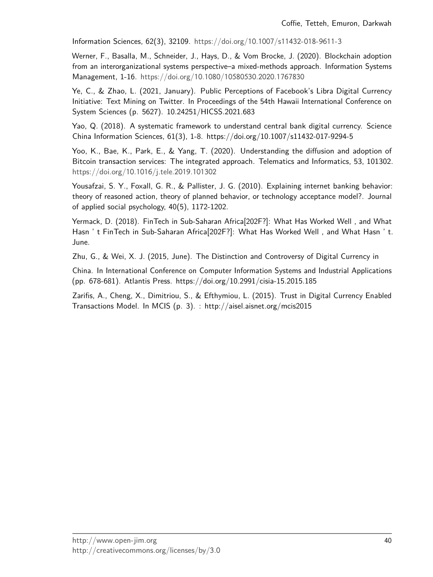Information Sciences, 62(3), 32109. [https://doi.org/](https://doi.org/10.1007/s11432-018-9611-3)10.1007/s11432-018-9611-3

Werner, F., Basalla, M., Schneider, J., Hays, D., & Vom Brocke, J. (2020). Blockchain adoption from an interorganizational systems perspective–a mixed-methods approach. Information Systems Management, 1-16. [https://doi.org/](https://doi.org/10.1080/10580530.2020.1767830)10.1080/10580530.2020.1767830

Ye, C., & Zhao, L. (2021, January). Public Perceptions of Facebook's Libra Digital Currency Initiative: Text Mining on Twitter. In Proceedings of the 54th Hawaii International Conference on System Sciences (p. 5627). 10.24251/HICSS.2021.683

Yao, Q. (2018). A systematic framework to understand central bank digital currency. Science China Information Sciences, 61(3), 1-8. https://doi.org/10.1007/s11432-017-9294-5

Yoo, K., Bae, K., Park, E., & Yang, T. (2020). Understanding the diffusion and adoption of Bitcoin transaction services: The integrated approach. Telematics and Informatics, 53, 101302. [https://doi.org/](https://doi.org/10.1016/j.tele.2019.101302)10.1016/j.tele.2019.101302

Yousafzai, S. Y., Foxall, G. R., & Pallister, J. G. (2010). Explaining internet banking behavior: theory of reasoned action, theory of planned behavior, or technology acceptance model?. Journal of applied social psychology, 40(5), 1172-1202.

Yermack, D. (2018). FinTech in Sub-Saharan Africa[202F?]: What Has Worked Well , and What Hasn ' t FinTech in Sub-Saharan Africa[202F?]: What Has Worked Well , and What Hasn ' t. June.

Zhu, G., & Wei, X. J. (2015, June). The Distinction and Controversy of Digital Currency in

China. In International Conference on Computer Information Systems and Industrial Applications (pp. 678-681). Atlantis Press. https://doi.org/10.2991/cisia-15.2015.185

Zarifis, A., Cheng, X., Dimitriou, S., & Efthymiou, L. (2015). Trust in Digital Currency Enabled Transactions Model. In MCIS (p. 3). : http://aisel.aisnet.org/mcis2015